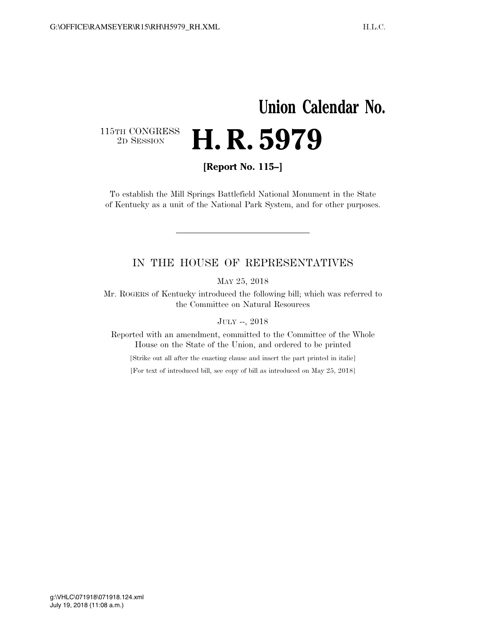## **Union Calendar No.**  115TH CONGRESS<br>2D SESSION H. R. 5979

**[Report No. 115–]** 

To establish the Mill Springs Battlefield National Monument in the State of Kentucky as a unit of the National Park System, and for other purposes.

## IN THE HOUSE OF REPRESENTATIVES

MAY 25, 2018

Mr. ROGERS of Kentucky introduced the following bill; which was referred to the Committee on Natural Resources

JULY --, 2018

Reported with an amendment, committed to the Committee of the Whole House on the State of the Union, and ordered to be printed

[Strike out all after the enacting clause and insert the part printed in italic]

[For text of introduced bill, see copy of bill as introduced on May 25, 2018]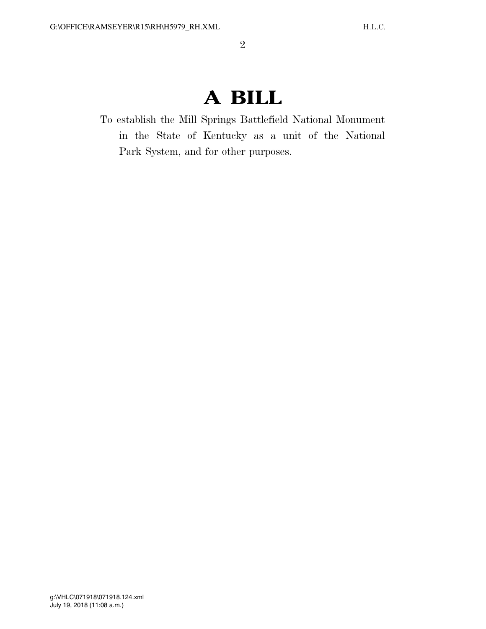## **A BILL**

To establish the Mill Springs Battlefield National Monument in the State of Kentucky as a unit of the National Park System, and for other purposes.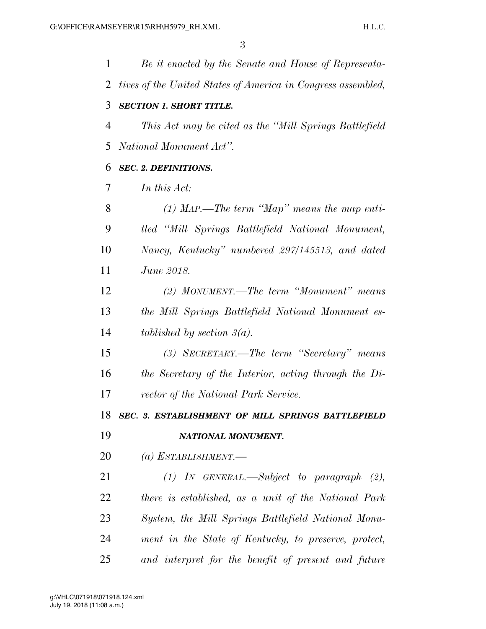| 1  | Be it enacted by the Senate and House of Representa-         |
|----|--------------------------------------------------------------|
| 2  | tives of the United States of America in Congress assembled, |
| 3  | <b>SECTION 1. SHORT TITLE.</b>                               |
| 4  | This Act may be cited as the "Mill Springs Battlefield"      |
| 5  | National Monument Act".                                      |
| 6  | <b>SEC. 2. DEFINITIONS.</b>                                  |
| 7  | In this Act:                                                 |
| 8  | (1) MAP.—The term "Map" means the map enti-                  |
| 9  | tled "Mill Springs Battlefield National Monument,            |
| 10 | Nancy, Kentucky" numbered 297/145513, and dated              |
| 11 | <i>June 2018.</i>                                            |
| 12 | (2) MONUMENT.—The term "Monument" means                      |
| 13 | the Mill Springs Battlefield National Monument es-           |
| 14 | tablished by section $\beta(a)$ .                            |
| 15 | (3) SECRETARY.—The term "Secretary" means                    |
| 16 | the Secretary of the Interior, acting through the Di-        |
| 17 | rector of the National Park Service.                         |
| 18 | SEC. 3. ESTABLISHMENT OF MILL SPRINGS BATTLEFIELD            |
| 19 | NATIONAL MONUMENT.                                           |
| 20 | (a) ESTABLISHMENT.—                                          |
| 21 | $(1)$ IN GENERAL.—Subject to paragraph $(2)$ ,               |
| 22 | there is established, as a unit of the National Park         |
| 23 | System, the Mill Springs Battlefield National Monu-          |
| 24 | ment in the State of Kentucky, to preserve, protect,         |
| 25 | and interpret for the benefit of present and future          |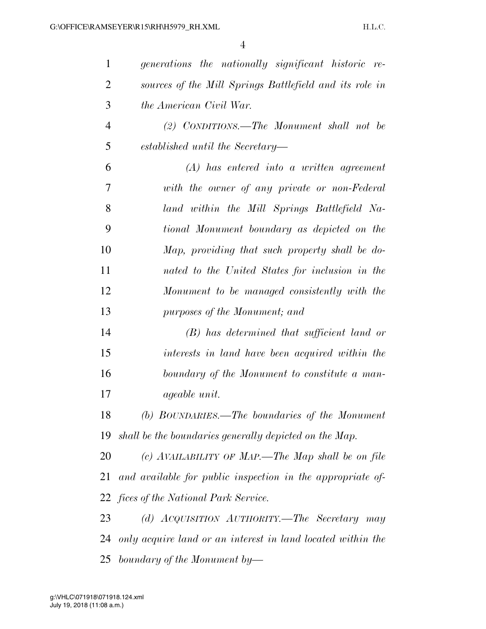| $\mathbf{1}$   | generations the nationally significant historic re-         |
|----------------|-------------------------------------------------------------|
| $\overline{2}$ | sources of the Mill Springs Battlefield and its role in     |
| 3              | the American Civil War.                                     |
| 4              | (2) CONDITIONS.—The Monument shall not be                   |
| 5              | established until the Secretary—                            |
| 6              | $(A)$ has entered into a written agreement                  |
| 7              | with the owner of any private or non-Federal                |
| 8              | land within the Mill Springs Battlefield Na-                |
| 9              | tional Monument boundary as depicted on the                 |
| 10             | Map, providing that such property shall be do-              |
| 11             | nated to the United States for inclusion in the             |
| 12             | Monument to be managed consistently with the                |
| 13             | purposes of the Monument; and                               |
| 14             | $(B)$ has determined that sufficient land or                |
| 15             | interests in land have been acquired within the             |
| 16             | boundary of the Monument to constitute a man-               |
| 17             | <i>ageable unit.</i>                                        |
| 18             | (b) BOUNDARIES.—The boundaries of the Monument              |
| 19             | shall be the boundaries generally depicted on the Map.      |
| 20             | (c) AVAILABILITY OF MAP.—The Map shall be on file           |
| 21             | and available for public inspection in the appropriate of-  |
|                | 22 fices of the National Park Service.                      |
| 23             | (d) ACQUISITION AUTHORITY.—The Secretary may                |
| 24             | only acquire land or an interest in land located within the |
| 25             | boundary of the Monument by-                                |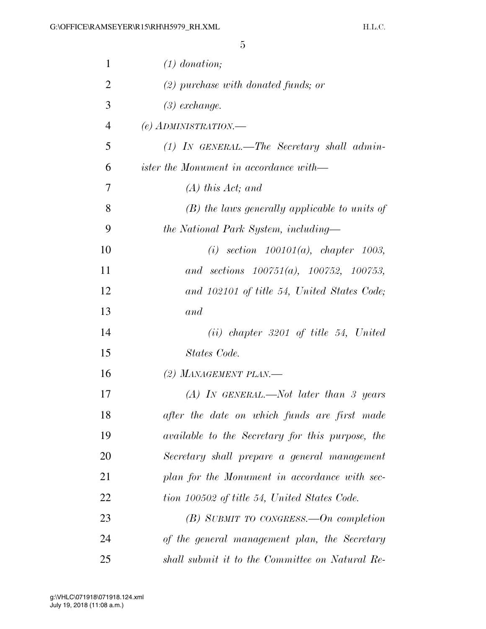| $\mathbf{1}$   | $(1)$ donation;                                         |
|----------------|---------------------------------------------------------|
| $\overline{2}$ | $(2)$ purchase with donated funds; or                   |
| 3              | $(3)$ exchange.                                         |
| $\overline{4}$ | (e) ADMINISTRATION.-                                    |
| 5              | $(1)$ IN GENERAL.—The Secretary shall admin-            |
| 6              | <i>ister the Monument in accordance with</i> —          |
| 7              | $(A)$ this Act; and                                     |
| 8              | $(B)$ the laws generally applicable to units of         |
| 9              | the National Park System, including—                    |
| 10             | (i) section $100101(a)$ , chapter 1003,                 |
| 11             | and sections $100751(a)$ , $100752$ , $100753$ ,        |
| 12             | and 102101 of title 54, United States Code;             |
| 13             | and                                                     |
| 14             | $(ii)$ chapter 3201 of title 54, United                 |
| 15             | States Code.                                            |
| 16             | (2) MANAGEMENT PLAN.—                                   |
| 17             | (A) IN GENERAL.—Not later than 3 years                  |
| 18             | after the date on which funds are first made            |
| 19             | <i>available to the Secretary for this purpose, the</i> |
| 20             | Secretary shall prepare a general management            |
| 21             | plan for the Monument in accordance with sec-           |
| 22             | tion 100502 of title 54, United States Code.            |
| 23             | $(B)$ SUBMIT TO CONGRESS.—On completion                 |
| 24             | of the general management plan, the Secretary           |
| 25             | shall submit it to the Committee on Natural Re-         |